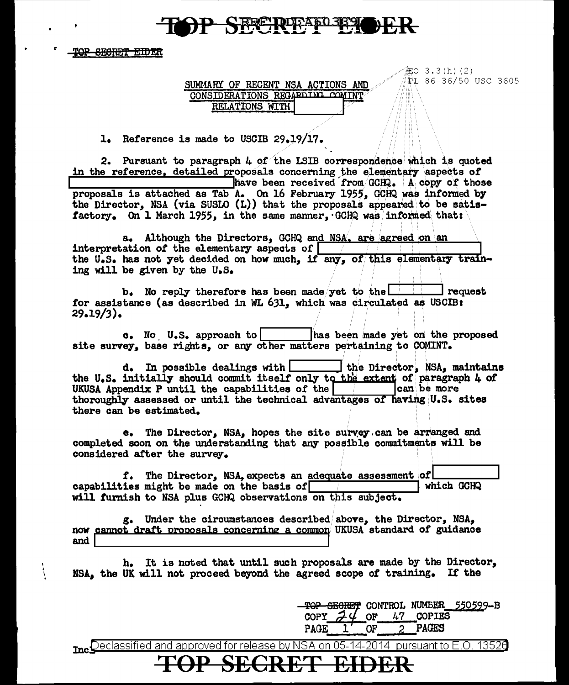## SFFTRETAPD389

TOP SECRET EIDER

Ì.

SUMMARY OF RECENT NSA ACTIONS AND CONSIDERATIONS REGARDING COMINT RELATIONS WITH

記O 3.3(h) (2) PI 86-36/50 USC 3605

1. Reference is made to USCIB 29.19/17.

2. Pursuant to paragraph 4 of the LSIB correspondence which is quoted in the reference, detailed proposals concerning the elementary aspects of have been received from GCHQ. A copy of those proposals is attached as Tab A. On 16 February 1955, GCHQ was informed by the Director, NSA (via SUSLO (L)) that the proposals appeared to be satisfactory. On 1 March 1955, in the same manner, GCHQ was informed that:

a. Although the Directors. GCHQ and NSA, are agreed on an interpretation of the elementary aspects of the U.S. has not yet decided on how much, if any, of this elementary training will be given by the U.S.

b. No reply therefore has been made yet to the **Prequest** for assistance (as described in WL 631, which was circulated as USCIB:  $29.19/3$ .

 $c.$  No U.S. approach to has been made yet on the proposed site survey, base rights, or any other matters pertaining to COMINT.

 $d<sub>o</sub>$  In possible dealings with  $\Box$ the Director, NSA, maintains the U.S. initially should commit itself only to the extent of paragraph 4 of UKUSA Appendix P until the capabilities of the can be more thoroughly assessed or until the technical advantages of having U.S. sites there can be estimated.

e. The Director, NSA, hopes the site survey can be arranged and completed soon on the understanding that any possible commitments will be considered after the survey.

f. The Director, NSA, expects an adequate assessment of capabilities might be made on the basis of which GCHQ will furnish to NSA plus GCHQ observations on this subject.

g. Under the circumstances described above, the Director, NSA, now cannot draft proposals concerning a common UKUSA standard of guidance and

h. It is noted that until such proposals are made by the Director, NSA, the UK will not proceed beyond the agreed scope of training. If the

> TOP SECRET CONTROL NUMBER 550599-B 47 COPIES OF **COPY PAGES PAGE** OF  $2^{\circ}$

me Declassified and approved for release by NSA on 05-14-2014 pursuant to E.O. 13526